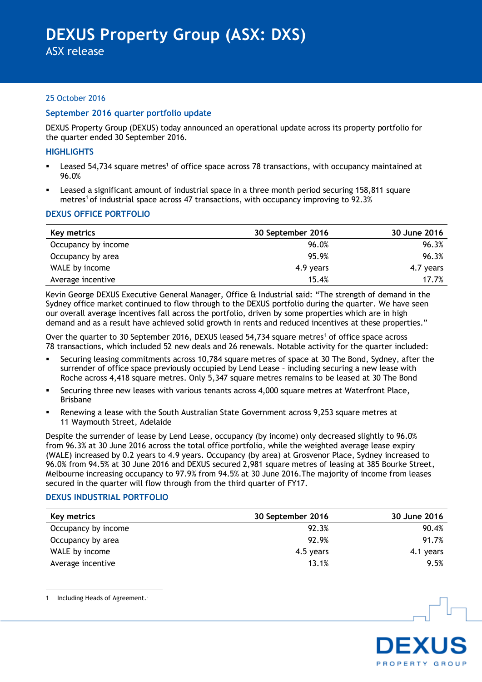ASX release

# 25 October 2016

# **September 2016 quarter portfolio update**

DEXUS Property Group (DEXUS) today announced an operational update across its property portfolio for the quarter ended 30 September 2016.

#### **HIGHLIGHTS**

- **EXEC** 154,734 square metres<sup>1</sup> of office space across 78 transactions, with occupancy maintained at 96.0%
- Leased a significant amount of industrial space in a three month period securing 158,811 square metres<sup>1</sup> of industrial space across 47 transactions, with occupancy improving to 92.3%

#### **DEXUS OFFICE PORTFOLIO**

| Key metrics         | 30 September 2016 | 30 June 2016 |
|---------------------|-------------------|--------------|
| Occupancy by income | 96.0%             | 96.3%        |
| Occupancy by area   | 95.9%             | 96.3%        |
| WALE by income      | 4.9 years         | 4.7 years    |
| Average incentive   | 15.4%             | 17.7%        |

Kevin George DEXUS Executive General Manager, Office & Industrial said: "The strength of demand in the Sydney office market continued to flow through to the DEXUS portfolio during the quarter. We have seen our overall average incentives fall across the portfolio, driven by some properties which are in high demand and as a result have achieved solid growth in rents and reduced incentives at these properties."

Over the quarter to 30 September 2016, DEXUS leased 54,734 square metres<sup>1</sup> of office space across 78 transactions, which included 52 new deals and 26 renewals. Notable activity for the quarter included:

- Securing leasing commitments across 10,784 square metres of space at 30 The Bond, Sydney, after the surrender of office space previously occupied by Lend Lease – including securing a new lease with Roche across 4,418 square metres. Only 5,347 square metres remains to be leased at 30 The Bond
- Securing three new leases with various tenants across 4,000 square metres at Waterfront Place, Brisbane
- Renewing a lease with the South Australian State Government across 9,253 square metres at 11 Waymouth Street, Adelaide

Despite the surrender of lease by Lend Lease, occupancy (by income) only decreased slightly to 96.0% from 96.3% at 30 June 2016 across the total office portfolio, while the weighted average lease expiry (WALE) increased by 0.2 years to 4.9 years. Occupancy (by area) at Grosvenor Place, Sydney increased to 96.0% from 94.5% at 30 June 2016 and DEXUS secured 2,981 square metres of leasing at 385 Bourke Street, Melbourne increasing occupancy to 97.9% from 94.5% at 30 June 2016. The majority of income from leases secured in the quarter will flow through from the third quarter of FY17.

## **DEXUS INDUSTRIAL PORTFOLIO**

| Key metrics         | 30 September 2016 | 30 June 2016 |
|---------------------|-------------------|--------------|
| Occupancy by income | 92.3%             | 90.4%        |
| Occupancy by area   | 92.9%             | 91.7%        |
| WALE by income      | 4.5 years         | 4.1 years    |
| Average incentive   | 13.1%             | 9.5%         |



<u>.</u>